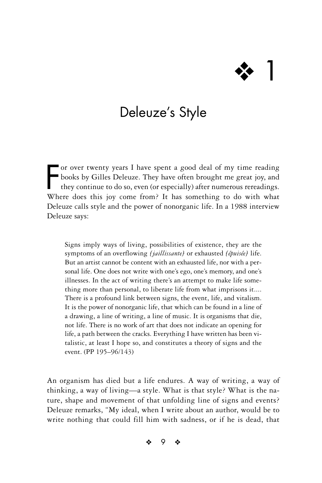# ❖ 1

# Deleuze's Style

For over twenty years I have spent a good deal of my time reading books by Gilles Deleuze. They have often brought me great joy, and they continue to do so, even (or especially) after numerous rereadings. Where does this j or over twenty years I have spent a good deal of my time reading books by Gilles Deleuze. They have often brought me great joy, and they continue to do so, even (or especially) after numerous rereadings. Deleuze calls style and the power of nonorganic life. In a 1988 interview Deleuze says:

Signs imply ways of living, possibilities of existence, they are the symptoms of an overflowing *[jaillissante]* or exhausted *[épuisée]* life. But an artist cannot be content with an exhausted life, nor with a personal life. One does not write with one's ego, one's memory, and one's illnesses. In the act of writing there's an attempt to make life something more than personal, to liberate life from what imprisons it.... There is a profound link between signs, the event, life, and vitalism. It is the power of nonorganic life, that which can be found in a line of a drawing, a line of writing, a line of music. It is organisms that die, not life. There is no work of art that does not indicate an opening for life, a path between the cracks. Everything I have written has been vitalistic, at least I hope so, and constitutes a theory of signs and the event. (PP 195–96/143)

An organism has died but a life endures. A way of writing, a way of thinking, a way of living—a style. What is that style? What is the nature, shape and movement of that unfolding line of signs and events? Deleuze remarks, "My ideal, when I write about an author, would be to write nothing that could fill him with sadness, or if he is dead, that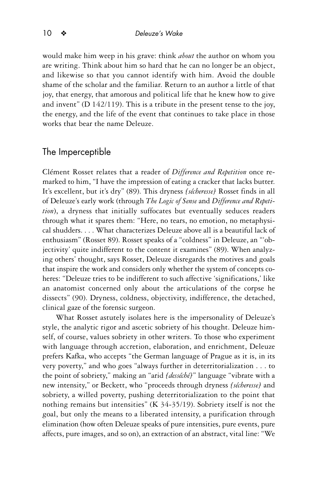would make him weep in his grave: think *about* the author on whom you are writing. Think about him so hard that he can no longer be an object, and likewise so that you cannot identify with him. Avoid the double shame of the scholar and the familiar. Return to an author a little of that joy, that energy, that amorous and political life that he knew how to give and invent" (D 142/119). This is a tribute in the present tense to the joy, the energy, and the life of the event that continues to take place in those works that bear the name Deleuze.

## The Imperceptible

Clément Rosset relates that a reader of *Difference and Repetition* once remarked to him, "I have the impression of eating a cracker that lacks butter. It's excellent, but it's dry" (89). This dryness *[sécheresse]* Rosset finds in all of Deleuze's early work (through *The Logic of Sense* and *Difference and Repetition*), a dryness that initially suffocates but eventually seduces readers through what it spares them: "Here, no tears, no emotion, no metaphysical shudders. . . . What characterizes Deleuze above all is a beautiful lack of enthusiasm" (Rosset 89). Rosset speaks of a "coldness" in Deleuze, an "'objectivity' quite indifferent to the content it examines" (89). When analyzing others' thought, says Rosset, Deleuze disregards the motives and goals that inspire the work and considers only whether the system of concepts coheres: "Deleuze tries to be indifferent to such affective 'significations,' like an anatomist concerned only about the articulations of the corpse he dissects" (90). Dryness, coldness, objectivity, indifference, the detached, clinical gaze of the forensic surgeon.

What Rosset astutely isolates here is the impersonality of Deleuze's style, the analytic rigor and ascetic sobriety of his thought. Deleuze himself, of course, values sobriety in other writers. To those who experiment with language through accretion, elaboration, and enrichment, Deleuze prefers Kafka, who accepts "the German language of Prague as it is, in its very poverty," and who goes "always further in deterritorialization . . . to the point of sobriety," making an "arid *[desséché]*" language "vibrate with a new intensity," or Beckett, who "proceeds through dryness *[sécheresse]* and sobriety, a willed poverty, pushing deterritorialization to the point that nothing remains but intensities" (K 34-35/19). Sobriety itself is not the goal, but only the means to a liberated intensity, a purification through elimination (how often Deleuze speaks of pure intensities, pure events, pure affects, pure images, and so on), an extraction of an abstract, vital line: "We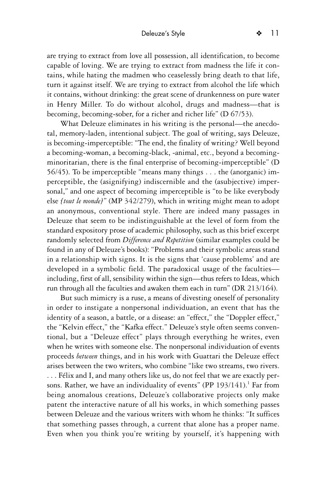are trying to extract from love all possession, all identification, to become capable of loving. We are trying to extract from madness the life it contains, while hating the madmen who ceaselessly bring death to that life, turn it against itself. We are trying to extract from alcohol the life which it contains, without drinking: the great scene of drunkenness on pure water in Henry Miller. To do without alcohol, drugs and madness—that is becoming, becoming-sober, for a richer and richer life" (D 67/53).

What Deleuze eliminates in his writing is the personal—the anecdotal, memory-laden, intentional subject. The goal of writing, says Deleuze, is becoming-imperceptible: "The end, the finality of writing? Well beyond a becoming-woman, a becoming-black, -animal, etc., beyond a becomingminoritarian, there is the final enterprise of becoming-imperceptible" (D 56/45). To be imperceptible "means many things . . . the (anorganic) imperceptible, the (asignifying) indiscernible and the (asubjective) impersonal," and one aspect of becoming imperceptible is "to be like everybody else *[tout le monde]*" (MP 342/279), which in writing might mean to adopt an anonymous, conventional style. There are indeed many passages in Deleuze that seem to be indistinguishable at the level of form from the standard expository prose of academic philosophy, such as this brief excerpt randomly selected from *Difference and Repetition* (similar examples could be found in any of Deleuze's books): "Problems and their symbolic areas stand in a relationship with signs. It is the signs that 'cause problems' and are developed in a symbolic field. The paradoxical usage of the faculties including, first of all, sensibility within the sign—thus refers to Ideas, which run through all the faculties and awaken them each in turn" (DR 213/164).

But such mimicry is a ruse, a means of divesting oneself of personality in order to instigate a nonpersonal individuation, an event that has the identity of a season, a battle, or a disease: an "effect," the "Doppler effect," the "Kelvin effect," the "Kafka effect." Deleuze's style often seems conventional, but a "Deleuze effect" plays through everything he writes, even when he writes with someone else. The nonpersonal individuation of events proceeds *between* things, and in his work with Guattari the Deleuze effect arises between the two writers, who combine "like two streams, two rivers. . . . Félix and I, and many others like us, do not feel that we are exactly persons. Rather, we have an individuality of events" (PP  $193/141$ ).<sup>1</sup> Far from being anomalous creations, Deleuze's collaborative projects only make patent the interactive nature of all his works, in which something passes between Deleuze and the various writers with whom he thinks: "It suffices that something passes through, a current that alone has a proper name. Even when you think you're writing by yourself, it's happening with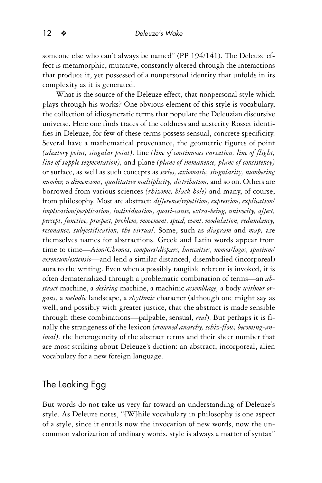someone else who can't always be named" (PP 194/141). The Deleuze effect is metamorphic, mutative, constantly altered through the interactions that produce it, yet possessed of a nonpersonal identity that unfolds in its complexity as it is generated.

What is the source of the Deleuze effect, that nonpersonal style which plays through his works? One obvious element of this style is vocabulary, the collection of idiosyncratic terms that populate the Deleuzian discursive universe. Here one finds traces of the coldness and austerity Rosset identifies in Deleuze, for few of these terms possess sensual, concrete specificity. Several have a mathematical provenance, the geometric figures of point *(aleatory point, singular point),* line *(line of continuous variation, line of flight, line of supple segmentation),* and plane *(plane of immanence, plane of consistency)* or surface, as well as such concepts as *series, axiomatic, singularity, numbering number, n dimensions, qualitative multiplicity, distribution,* and so on. Others are borrowed from various sciences *(rhizome, black hole)* and many, of course, from philosophy. Most are abstract: *difference/repetition, expression, explication/ implication/perplication, individuation, quasi-cause, extra-being, univocity, affect, percept, functive, prospect, problem, movement, speed, event, modulation, redundancy, resonance, subjectification, the virtual*. Some, such as *diagram* and *map,* are themselves names for abstractions. Greek and Latin words appear from time to time—*Aion/Chronos, compars/dispars, haecceities, nomos/logos, spatium/ extensum/extensio*—and lend a similar distanced, disembodied (incorporeal) aura to the writing. Even when a possibly tangible referent is invoked, it is often dematerialized through a problematic combination of terms—an *abstract* machine, a *desiring* machine, a machinic *assemblage,* a body *without organs,* a *melodic* landscape, a *rhythmic* character (although one might say as well, and possibly with greater justice, that the abstract is made sensible through these combinations—palpable, sensual, *real*). But perhaps it is finally the strangeness of the lexicon *(crowned anarchy, schiz-flow, becoming-animal),* the heterogeneity of the abstract terms and their sheer number that are most striking about Deleuze's diction: an abstract, incorporeal, alien vocabulary for a new foreign language.

# The Leaking Egg

But words do not take us very far toward an understanding of Deleuze's style. As Deleuze notes, "[W]hile vocabulary in philosophy is one aspect of a style, since it entails now the invocation of new words, now the uncommon valorization of ordinary words, style is always a matter of syntax"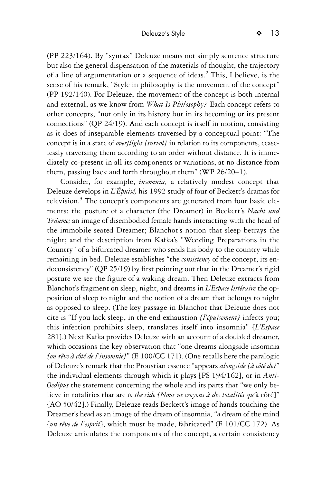(PP 223/164). By "syntax" Deleuze means not simply sentence structure but also the general dispensation of the materials of thought, the trajectory of a line of argumentation or a sequence of ideas.<sup>2</sup> This, I believe, is the sense of his remark, "Style in philosophy is the movement of the concept" (PP 192/140). For Deleuze, the movement of the concept is both internal and external, as we know from *What Is Philosophy?* Each concept refers to other concepts, "not only in its history but in its becoming or its present connections" (QP 24/19). And each concept is itself in motion, consisting as it does of inseparable elements traversed by a conceptual point: "The concept is in a state of *overflight [survol]* in relation to its components, ceaselessly traversing them according to an order without distance. It is immediately co-present in all its components or variations, at no distance from

them, passing back and forth throughout them" (WP 26/20–1). Consider, for example, *insomnia,* a relatively modest concept that Deleuze develops in *L'Épuisé,* his 1992 study of four of Beckett's dramas for television.<sup>3</sup> The concept's components are generated from four basic elements: the posture of a character (the Dreamer) in Beckett's *Nacht und Träume;* an image of disembodied female hands interacting with the head of the immobile seated Dreamer; Blanchot's notion that sleep betrays the night; and the description from Kafka's "Wedding Preparations in the Country" of a bifurcated dreamer who sends his body to the country while remaining in bed. Deleuze establishes "the *consistency* of the concept, its endoconsistency" (QP 25/19) by first pointing out that in the Dreamer's rigid posture we see the figure of a waking dream. Then Deleuze extracts from Blanchot's fragment on sleep, night, and dreams in *L'Espace littéraire* the opposition of sleep to night and the notion of a dream that belongs to night as opposed to sleep. (The key passage in Blanchot that Deleuze does not cite is "If you lack sleep, in the end exhaustion *[l'épuisement]* infects you; this infection prohibits sleep, translates itself into insomnia" [*L'Espace* 281].) Next Kafka provides Deleuze with an account of a doubled dreamer, which occasions the key observation that "one dreams alongside insomnia *[on rêve à côté de l'insomnie]*" (E 100/CC 171). (One recalls here the paralogic of Deleuze's remark that the Proustian essence "appears *alongside [à côté de]*" the individual elements through which it plays [PS 194/162], or in *Anti-Oedipus* the statement concerning the whole and its parts that "we only believe in totalities that are *to the side [Nous ne croyons à des totalités qu'*à côté]" [AO 50/42].) Finally, Deleuze reads Beckett's image of hands touching the Dreamer's head as an image of the dream of insomnia, "a dream of the mind [*un rêve de l'esprit*], which must be made, fabricated" (E 101/CC 172). As Deleuze articulates the components of the concept, a certain consistency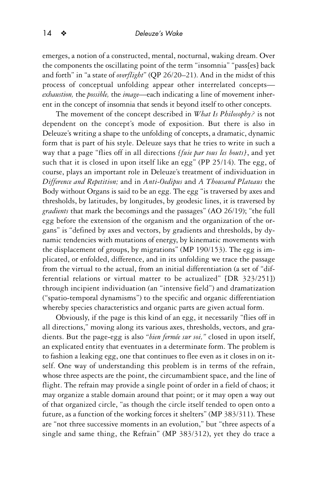emerges, a notion of a constructed, mental, nocturnal, waking dream. Over the components the oscillating point of the term "insomnia" "pass[es] back and forth" in "a state of *overflight*" (QP 26/20–21). And in the midst of this process of conceptual unfolding appear other interrelated concepts *exhaustion,* the *possible,* the *image*—each indicating a line of movement inherent in the concept of insomnia that sends it beyond itself to other concepts.

The movement of the concept described in *What Is Philosophy?* is not dependent on the concept's mode of exposition. But there is also in Deleuze's writing a shape to the unfolding of concepts, a dramatic, dynamic form that is part of his style. Deleuze says that he tries to write in such a way that a page "flies off in all directions *[fuie par tous les bouts]*, and yet such that it is closed in upon itself like an egg" (PP 25/14). The egg, of course, plays an important role in Deleuze's treatment of individuation in *Difference and Repetition;* and in *Anti-Oedipus* and *A Thousand Plateaus* the Body without Organs is said to be an egg. The egg "is traversed by axes and thresholds, by latitudes, by longitudes, by geodesic lines, it is traversed by *gradients* that mark the becomings and the passages" (AO 26/19); "the full egg before the extension of the organism and the organization of the organs" is "defined by axes and vectors, by gradients and thresholds, by dynamic tendencies with mutations of energy, by kinematic movements with the displacement of groups, by migrations" (MP 190/153). The egg is implicated, or enfolded, difference, and in its unfolding we trace the passage from the virtual to the actual, from an initial differentiation (a set of "differential relations or virtual matter to be actualized" [DR 323/251]) through incipient individuation (an "intensive field") and dramatization ("spatio-temporal dynamisms") to the specific and organic differentiation whereby species characteristics and organic parts are given actual form.

Obviously, if the page is this kind of an egg, it necessarily "flies off in all directions," moving along its various axes, thresholds, vectors, and gradients. But the page-egg is also *"bien fermée sur soi,"* closed in upon itself, an explicated entity that eventuates in a determinate form. The problem is to fashion a leaking egg, one that continues to flee even as it closes in on itself. One way of understanding this problem is in terms of the refrain, whose three aspects are the point, the circumambient space, and the line of flight. The refrain may provide a single point of order in a field of chaos; it may organize a stable domain around that point; or it may open a way out of that organized circle, "as though the circle itself tended to open onto a future, as a function of the working forces it shelters" (MP 383/311). These are "not three successive moments in an evolution," but "three aspects of a single and same thing, the Refrain" (MP 383/312), yet they do trace a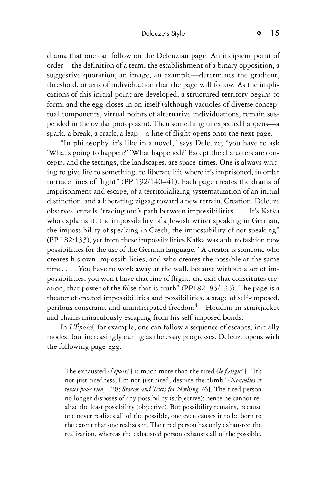drama that one can follow on the Deleuzian page. An incipient point of order—the definition of a term, the establishment of a binary opposition, a suggestive quotation, an image, an example—determines the gradient, threshold, or axis of individuation that the page will follow. As the implications of this initial point are developed, a structured territory begins to form, and the egg closes in on itself (although vacuoles of diverse conceptual components, virtual points of alternative individuations, remain suspended in the ovular protoplasm). Then something unexpected happens—a spark, a break, a crack, a leap—a line of flight opens onto the next page.

"In philosophy, it's like in a novel," says Deleuze; "you have to ask 'What's going to happen?' 'What happened?' Except the characters are concepts, and the settings, the landscapes, are space-times. One is always writing to give life to something, to liberate life where it's imprisoned, in order to trace lines of flight" (PP 192/140–41). Each page creates the drama of imprisonment and escape, of a territorializing systematization of an initial distinction, and a liberating zigzag toward a new terrain. Creation, Deleuze observes, entails "tracing one's path between impossibilities. . . . It's Kafka who explains it: the impossibility of a Jewish writer speaking in German, the impossibility of speaking in Czech, the impossibility of not speaking" (PP 182/133), yet from these impossibilities Kafka was able to fashion new possibilities for the use of the German language: "A creator is someone who creates his own impossibilities, and who creates the possible at the same time. . . . You have to work away at the wall, because without a set of impossibilities, you won't have that line of flight, the exit that constitutes creation, that power of the false that is truth" (PP182–83/133). The page is a theater of created impossibilities and possibilities, a stage of self-imposed, perilous constraint and unanticipated freedom<sup>4</sup>—Houdini in straitjacket and chains miraculously escaping from his self-imposed bonds.

In *L'Épuisé,* for example, one can follow a sequence of escapes, initially modest but increasingly daring as the essay progresses. Deleuze opens with the following page-egg:

The exhausted [*l'épuisé*] is much more than the tired [*le fatigué*]. "It's not just tiredness, I'm not just tired, despite the climb" [*Nouvelles et textes pour rien,* 128; *Stories and Texts for Nothing* 76]. The tired person no longer disposes of any possibility (subjective): hence he cannot realize the least possibility (objective). But possibility remains, because one never realizes all of the possible, one even causes it to be born to the extent that one realizes it. The tired person has only exhausted the realization, whereas the exhausted person exhausts all of the possible.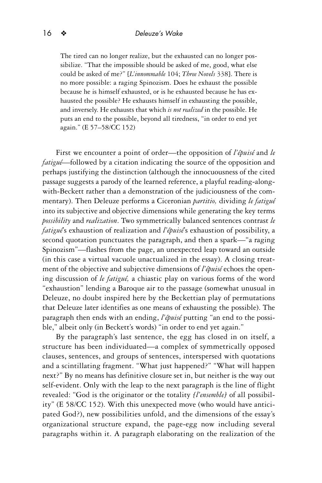The tired can no longer realize, but the exhausted can no longer possibilize. "That the impossible should be asked of me, good, what else could be asked of me?" [*L'innommable* 104; *Three Novels* 338]. There is no more possible: a raging Spinozism. Does he exhaust the possible because he is himself exhausted, or is he exhausted because he has exhausted the possible? He exhausts himself in exhausting the possible, and inversely. He exhausts that which *is not realized* in the possible. He puts an end to the possible, beyond all tiredness, "in order to end yet again." (E 57–58/CC 152)

First we encounter a point of order—the opposition of *l'épuisé* and *le fatigué*—followed by a citation indicating the source of the opposition and perhaps justifying the distinction (although the innocuousness of the cited passage suggests a parody of the learned reference, a playful reading-alongwith-Beckett rather than a demonstration of the judiciousness of the commentary). Then Deleuze performs a Ciceronian *partitio,* dividing *le fatigué* into its subjective and objective dimensions while generating the key terms *possibility* and *realization*. Two symmetrically balanced sentences contrast *le fatigué*'s exhaustion of realization and *l'épuisé*'s exhaustion of possibility, a second quotation punctuates the paragraph, and then a spark—"a raging Spinozism"—flashes from the page, an unexpected leap toward an outside (in this case a virtual vacuole unactualized in the essay). A closing treatment of the objective and subjective dimensions of *l'épuisé* echoes the opening discussion of *le fatigué,* a chiastic play on various forms of the word "exhaustion" lending a Baroque air to the passage (somewhat unusual in Deleuze, no doubt inspired here by the Beckettian play of permutations that Deleuze later identifies as one means of exhausting the possible). The paragraph then ends with an ending, *l'épuisé* putting "an end to the possible," albeit only (in Beckett's words) "in order to end yet again."

By the paragraph's last sentence, the egg has closed in on itself, a structure has been individuated—a complex of symmetrically opposed clauses, sentences, and groups of sentences, interspersed with quotations and a scintillating fragment. "What just happened?" "What will happen next?" By no means has definitive closure set in, but neither is the way out self-evident. Only with the leap to the next paragraph is the line of flight revealed: "God is the originator or the totality *[l'ensemble]* of all possibility" (E 58/CC 152). With this unexpected move (who would have anticipated God?), new possibilities unfold, and the dimensions of the essay's organizational structure expand, the page-egg now including several paragraphs within it. A paragraph elaborating on the realization of the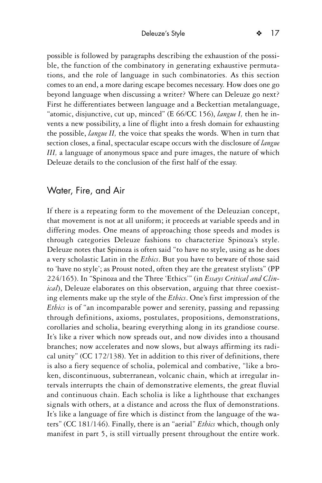possible is followed by paragraphs describing the exhaustion of the possible, the function of the combinatory in generating exhaustive permutations, and the role of language in such combinatories. As this section comes to an end, a more daring escape becomes necessary. How does one go beyond language when discussing a writer? Where can Deleuze go next?

First he differentiates between language and a Beckettian metalanguage, "atomic, disjunctive, cut up, minced" (E 66/CC 156), *langue I,* then he invents a new possibility, a line of flight into a fresh domain for exhausting the possible, *langue II,* the voice that speaks the words. When in turn that section closes, a final, spectacular escape occurs with the disclosure of *langue III,* a language of anonymous space and pure images, the nature of which Deleuze details to the conclusion of the first half of the essay.

# Water, Fire, and Air

If there is a repeating form to the movement of the Deleuzian concept, that movement is not at all uniform; it proceeds at variable speeds and in differing modes. One means of approaching those speeds and modes is through categories Deleuze fashions to characterize Spinoza's style. Deleuze notes that Spinoza is often said "to have no style, using as he does a very scholastic Latin in the *Ethics*. But you have to beware of those said to 'have no style'; as Proust noted, often they are the greatest stylists" (PP 224/165). In "Spinoza and the Three 'Ethics'" (in *Essays Critical and Clinical*), Deleuze elaborates on this observation, arguing that three coexisting elements make up the style of the *Ethics*. One's first impression of the *Ethics* is of "an incomparable power and serenity, passing and repassing through definitions, axioms, postulates, propositions, demonstrations, corollaries and scholia, bearing everything along in its grandiose course. It's like a river which now spreads out, and now divides into a thousand branches; now accelerates and now slows, but always affirming its radical unity" (CC 172/138). Yet in addition to this river of definitions, there is also a fiery sequence of scholia, polemical and combative, "like a broken, discontinuous, subterranean, volcanic chain, which at irregular intervals interrupts the chain of demonstrative elements, the great fluvial and continuous chain. Each scholia is like a lighthouse that exchanges signals with others, at a distance and across the flux of demonstrations. It's like a language of fire which is distinct from the language of the waters" (CC 181/146). Finally, there is an "aerial" *Ethics* which, though only manifest in part 5, is still virtually present throughout the entire work.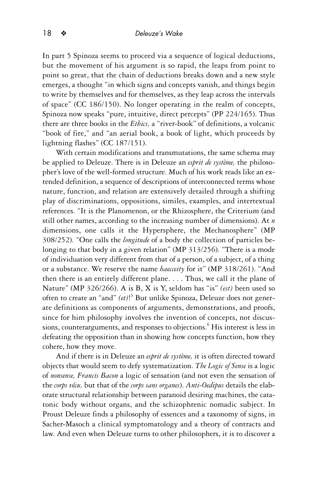In part 5 Spinoza seems to proceed via a sequence of logical deductions, but the movement of his argument is so rapid, the leaps from point to point so great, that the chain of deductions breaks down and a new style emerges, a thought "in which signs and concepts vanish, and things begin to write by themselves and for themselves, as they leap across the intervals of space" (CC 186/150). No longer operating in the realm of concepts, Spinoza now speaks "pure, intuitive, direct percepts" (PP 224/165). Thus there are three books in the *Ethics,* a "river-book" of definitions, a volcanic "book of fire," and "an aerial book, a book of light, which proceeds by lightning flashes" (CC 187/151).

With certain modifications and transmutations, the same schema may be applied to Deleuze. There is in Deleuze an *esprit de système,* the philosopher's love of the well-formed structure. Much of his work reads like an extended definition, a sequence of descriptions of interconnected terms whose nature, function, and relation are extensively detailed through a shifting play of discriminations, oppositions, similes, examples, and intertextual references. "It is the Planomenon, or the Rhizosphere, the Criterium (and still other names, according to the increasing number of dimensions). At *n* dimensions, one calls it the Hypersphere, the Mechanosphere" (MP 308/252). "One calls the *longitude* of a body the collection of particles belonging to that body in a given relation" (MP 313/256). "There is a mode of individuation very different from that of a person, of a subject, of a thing or a substance. We reserve the name *haecceity* for it" (MP 318/261). "And then there is an entirely different plane. . . . Thus, we call it the plane of Nature" (MP 326/266). A is B, X is Y, seldom has "is" *(est)* been used so often to create an "and" *(et)*! <sup>5</sup> But unlike Spinoza, Deleuze does not generate definitions as components of arguments, demonstrations, and proofs, since for him philosophy involves the invention of concepts, not discussions, counterarguments, and responses to objections.<sup>6</sup> His interest is less in defeating the opposition than in showing how concepts function, how they cohere, how they move.

And if there is in Deleuze an *esprit de système,* it is often directed toward objects that would seem to defy systematization. *The Logic of Sense* is a logic of *nonsense, Francis Bacon* a logic of sensation (and not even the sensation of the *corps vécu,* but that of the *corps sans organes*). *Anti-Oedipus* details the elaborate structural relationship between paranoid desiring machines, the catatonic body without organs, and the schizophrenic nomadic subject. In Proust Deleuze finds a philosophy of essences and a taxonomy of signs, in Sacher-Masoch a clinical symptomatology and a theory of contracts and law. And even when Deleuze turns to other philosophers, it is to discover a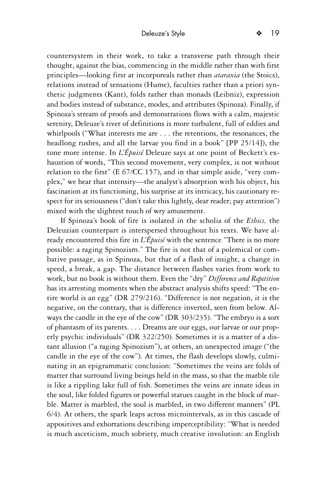countersystem in their work, to take a transverse path through their thought, against the bias, commencing in the middle rather than with first principles—looking first at incorporeals rather than *ataraxia* (the Stoics), relations instead of sensations (Hume), faculties rather than a priori synthetic judgments (Kant), folds rather than monads (Leibniz), expression and bodies instead of substance, modes, and attributes (Spinoza). Finally, if Spinoza's stream of proofs and demonstrations flows with a calm, majestic serenity, Deleuze's river of definitions is more turbulent, full of eddies and whirlpools ("What interests me are . . . the retentions, the resonances, the headlong rushes, and all the larvae you find in a book" [PP 25/14]), the tone more intense. In *L'Épuisé* Deleuze says at one point of Beckett's exhaustion of words, "This second movement, very complex, is not without relation to the first" (E 67/CC 157), and in that simple aside, "very complex," we hear that intensity—the analyst's absorption with his object, his fascination at its functioning, his surprise at its intricacy, his cautionary respect for its seriousness ("don't take this lightly, dear reader; pay attention") mixed with the slightest touch of wry amusement.

If Spinoza's book of fire is isolated in the scholia of the *Ethics,* the Deleuzian counterpart is interspersed throughout his texts. We have already encountered this fire in *L'Épuisé* with the sentence "There is no more possible: a raging Spinozism." The fire is not that of a polemical or combative passage, as in Spinoza, but that of a flash of insight, a change in speed, a break, a gap. The distance between flashes varies from work to work, but no book is without them. Even the "dry" *Difference and Repetition* has its arresting moments when the abstract analysis shifts speed: "The entire world is an egg" (DR 279/216). "Difference is not negation, it is the negative, on the contrary, that is difference inverted, seen from below. Always the candle in the eye of the cow" (DR 303/235). "The embryo is a sort of phantasm of its parents. . . . Dreams are our eggs, our larvae or our properly psychic individuals" (DR 322/250). Sometimes it is a matter of a distant allusion ("a raging Spinozism"), at others, an unexpected image ("the candle in the eye of the cow"). At times, the flash develops slowly, culminating in an epigrammatic conclusion: "Sometimes the veins are folds of matter that surround living beings held in the mass, so that the marble tile is like a rippling lake full of fish. Sometimes the veins are innate ideas in the soul, like folded figures or powerful statues caught in the block of marble. Matter is marbled, the soul is marbled, in two different manners" (PL 6/4). At others, the spark leaps across microintervals, as in this cascade of appositives and exhortations describing imperceptibility: "What is needed is much asceticism, much sobriety, much creative involution: an English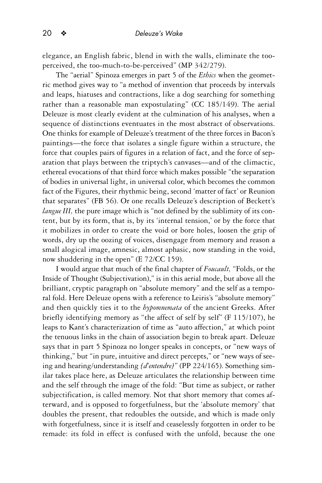elegance, an English fabric, blend in with the walls, eliminate the tooperceived, the too-much-to-be-perceived" (MP 342/279).

The "aerial" Spinoza emerges in part 5 of the *Ethics* when the geometric method gives way to "a method of invention that proceeds by intervals and leaps, hiatuses and contractions, like a dog searching for something rather than a reasonable man expostulating" (CC 185/149). The aerial Deleuze is most clearly evident at the culmination of his analyses, when a sequence of distinctions eventuates in the most abstract of observations. One thinks for example of Deleuze's treatment of the three forces in Bacon's paintings—the force that isolates a single figure within a structure, the force that couples pairs of figures in a relation of fact, and the force of separation that plays between the triptych's canvases—and of the climactic, ethereal evocations of that third force which makes possible "the separation of bodies in universal light, in universal color, which becomes the common fact of the Figures, their rhythmic being, second 'matter of fact' or Reunion that separates" (FB 56). Or one recalls Deleuze's description of Beckett's *langue III*, the pure image which is "not defined by the sublimity of its content, but by its form, that is, by its 'internal tension,' or by the force that it mobilizes in order to create the void or bore holes, loosen the grip of words, dry up the oozing of voices, disengage from memory and reason a small alogical image, amnesic, almost aphasic, now standing in the void, now shuddering in the open" (E 72/CC 159).

I would argue that much of the final chapter of *Foucault,* "Folds, or the Inside of Thought (Subjectivation)," is in this aerial mode, but above all the brilliant, cryptic paragraph on "absolute memory" and the self as a temporal fold. Here Deleuze opens with a reference to Leiris's "absolute memory" and then quickly ties it to the *hypomnemata* of the ancient Greeks. After briefly identifying memory as "the affect of self by self" (F 115/107), he leaps to Kant's characterization of time as "auto affection," at which point the tenuous links in the chain of association begin to break apart. Deleuze says that in part 5 Spinoza no longer speaks in concepts, or "new ways of thinking," but "in pure, intuitive and direct percepts," or "new ways of seeing and hearing/understanding *[d'entendre]*" (PP 224/165). Something similar takes place here, as Deleuze articulates the relationship between time and the self through the image of the fold: "But time as subject, or rather subjectification, is called memory. Not that short memory that comes afterward, and is opposed to forgetfulness, but the 'absolute memory' that doubles the present, that redoubles the outside, and which is made only with forgetfulness, since it is itself and ceaselessly forgotten in order to be remade: its fold in effect is confused with the unfold, because the one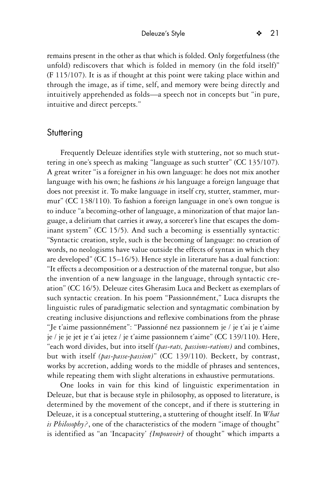remains present in the other as that which is folded. Only forgetfulness (the unfold) rediscovers that which is folded in memory (in the fold itself)" (F 115/107). It is as if thought at this point were taking place within and through the image, as if time, self, and memory were being directly and intuitively apprehended as folds—a speech not in concepts but "in pure, intuitive and direct percepts."

#### **Stuttering**

Frequently Deleuze identifies style with stuttering, not so much stuttering in one's speech as making "language as such stutter" (CC 135/107). A great writer "is a foreigner in his own language: he does not mix another language with his own; he fashions *in* his language a foreign language that does not preexist it. To make language in itself cry, stutter, stammer, murmur" (CC 138/110). To fashion a foreign language in one's own tongue is to induce "a becoming-other of language, a minorization of that major language, a delirium that carries it away, a sorcerer's line that escapes the dominant system" (CC 15/5). And such a becoming is essentially syntactic: "Syntactic creation, style, such is the becoming of language: no creation of words, no neologisms have value outside the effects of syntax in which they are developed" (CC 15–16/5). Hence style in literature has a dual function: "It effects a decomposition or a destruction of the maternal tongue, but also the invention of a new language in the language, through syntactic creation" (CC 16/5). Deleuze cites Gherasim Luca and Beckett as exemplars of such syntactic creation. In his poem "Passionnément," Luca disrupts the linguistic rules of paradigmatic selection and syntagmatic combination by creating inclusive disjunctions and reflexive combinations from the phrase "Je t'aime passionnément": "Passionné nez passionnem je / je t'ai je t'aime je / je je jet je t'ai jetez / je t'aime passionnem t'aime" (CC 139/110). Here, "each word divides, but into itself *(pas-rats, passions-rations)* and combines, but with itself *(pas-passe-passion)*" (CC 139/110). Beckett, by contrast, works by accretion, adding words to the middle of phrases and sentences, while repeating them with slight alterations in exhaustive permutations.

One looks in vain for this kind of linguistic experimentation in Deleuze, but that is because style in philosophy, as opposed to literature, is determined by the movement of the concept, and if there is stuttering in Deleuze, it is a conceptual stuttering, a stuttering of thought itself. In *What is Philosophy?*, one of the characteristics of the modern "image of thought" is identified as "an 'Incapacity' *[Impouvoir]* of thought" which imparts a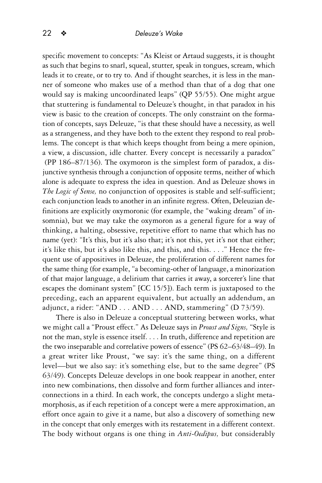specific movement to concepts: "As Kleist or Artaud suggests, it is thought as such that begins to snarl, squeal, stutter, speak in tongues, scream, which leads it to create, or to try to. And if thought searches, it is less in the manner of someone who makes use of a method than that of a dog that one would say is making uncoordinated leaps" (QP 55/55). One might argue that stuttering is fundamental to Deleuze's thought, in that paradox in his view is basic to the creation of concepts. The only constraint on the formation of concepts, says Deleuze, "is that these should have a necessity, as well as a strangeness, and they have both to the extent they respond to real problems. The concept is that which keeps thought from being a mere opinion, a view, a discussion, idle chatter. Every concept is necessarily a paradox" (PP 186–87/136). The oxymoron is the simplest form of paradox, a disjunctive synthesis through a conjunction of opposite terms, neither of which alone is adequate to express the idea in question. And as Deleuze shows in *The Logic of Sense,* no conjunction of opposites is stable and self-sufficient; each conjunction leads to another in an infinite regress. Often, Deleuzian definitions are explicitly oxymoronic (for example, the "waking dream" of insomnia), but we may take the oxymoron as a general figure for a way of thinking, a halting, obsessive, repetitive effort to name that which has no name (yet): "It's this, but it's also that; it's not this, yet it's not that either; it's like this, but it's also like this, and this, and this. . . ." Hence the frequent use of appositives in Deleuze, the proliferation of different names for the same thing (for example, "a becoming-other of language, a minorization of that major language, a delirium that carries it away, a sorcerer's line that escapes the dominant system" [CC 15/5]). Each term is juxtaposed to the preceding, each an apparent equivalent, but actually an addendum, an adjunct, a rider: "AND . . . AND . . . AND, stammering" (D 73/59).

There is also in Deleuze a conceptual stuttering between works, what we might call a "Proust effect." As Deleuze says in *Proust and Signs,* "Style is not the man, style is essence itself. . . . In truth, difference and repetition are the two inseparable and correlative powers of essence" (PS 62–63/48–49). In a great writer like Proust, "we say: it's the same thing, on a different level—but we also say: it's something else, but to the same degree" (PS 63/49). Concepts Deleuze develops in one book reappear in another, enter into new combinations, then dissolve and form further alliances and interconnections in a third. In each work, the concepts undergo a slight metamorphosis, as if each repetition of a concept were a mere approximation, an effort once again to give it a name, but also a discovery of something new in the concept that only emerges with its restatement in a different context. The body without organs is one thing in *Anti-Oedipus,* but considerably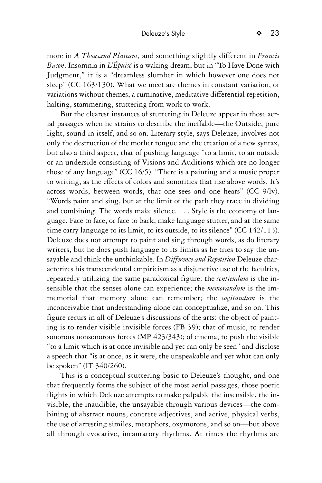more in *A Thousand Plateaus,* and something slightly different in *Francis Bacon*. Insomnia in *L'Épuisé* is a waking dream, but in "To Have Done with Judgment," it is a "dreamless slumber in which however one does not sleep" (CC 163/130). What we meet are themes in constant variation, or variations without themes, a ruminative, meditative differential repetition, halting, stammering, stuttering from work to work.

But the clearest instances of stuttering in Deleuze appear in those aerial passages when he strains to describe the ineffable—the Outside, pure light, sound in itself, and so on. Literary style, says Deleuze, involves not only the destruction of the mother tongue and the creation of a new syntax, but also a third aspect, that of pushing language "to a limit, to an outside or an underside consisting of Visions and Auditions which are no longer those of any language" (CC 16/5). "There is a painting and a music proper to writing, as the effects of colors and sonorities that rise above words. It's across words, between words, that one sees and one hears" (CC 9/lv). "Words paint and sing, but at the limit of the path they trace in dividing and combining. The words make silence. . . . Style is the economy of language. Face to face, or face to back, make language stutter, and at the same time carry language to its limit, to its outside, to its silence" (CC 142/113). Deleuze does not attempt to paint and sing through words, as do literary writers, but he does push language to its limits as he tries to say the unsayable and think the unthinkable. In *Difference and Repetition* Deleuze characterizes his transcendental empiricism as a disjunctive use of the faculties, repeatedly utilizing the same paradoxical figure: the *sentiendum* is the insensible that the senses alone can experience; the *memorandum* is the immemorial that memory alone can remember; the *cogitandum* is the inconceivable that understanding alone can conceptualize, and so on. This figure recurs in all of Deleuze's discussions of the arts: the object of painting is to render visible invisible forces (FB 39); that of music, to render sonorous nonsonorous forces (MP 423/343); of cinema, to push the visible "to a limit which is at once invisible and yet can only be seen" and disclose a speech that "is at once, as it were, the unspeakable and yet what can only be spoken" (IT 340/260).

This is a conceptual stuttering basic to Deleuze's thought, and one that frequently forms the subject of the most aerial passages, those poetic flights in which Deleuze attempts to make palpable the insensible, the invisible, the inaudible, the unsayable through various devices—the combining of abstract nouns, concrete adjectives, and active, physical verbs, the use of arresting similes, metaphors, oxymorons, and so on—but above all through evocative, incantatory rhythms. At times the rhythms are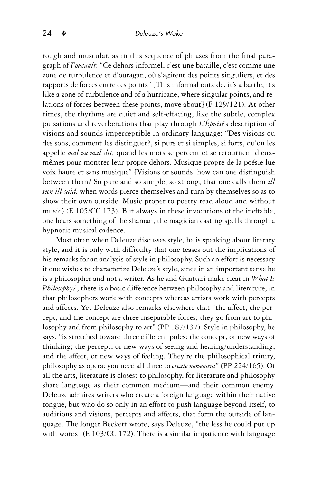rough and muscular, as in this sequence of phrases from the final paragraph of *Foucault*: "Ce dehors informel, c'est une bataille, c'est comme une zone de turbulence et d'ouragan, où s'agitent des points singuliers, et des rapports de forces entre ces points" [This informal outside, it's a battle, it's like a zone of turbulence and of a hurricane, where singular points, and relations of forces between these points, move about] (F 129/121). At other times, the rhythms are quiet and self-effacing, like the subtle, complex pulsations and reverberations that play through *L'Épuisé*'s description of visions and sounds imperceptible in ordinary language: "Des visions ou des sons, comment les distinguer?, si purs et si simples, si forts, qu'on les appelle *mal vu mal dit,* quand les mots se percent et se retournent d'euxmêmes pour montrer leur propre dehors. Musique propre de la poésie lue voix haute et sans musique" [Visions or sounds, how can one distinguish between them? So pure and so simple, so strong, that one calls them *ill seen ill said,* when words pierce themselves and turn by themselves so as to show their own outside. Music proper to poetry read aloud and without music] (E 105/CC 173). But always in these invocations of the ineffable, one hears something of the shaman, the magician casting spells through a hypnotic musical cadence.

Most often when Deleuze discusses style, he is speaking about literary style, and it is only with difficulty that one teases out the implications of his remarks for an analysis of style in philosophy. Such an effort is necessary if one wishes to characterize Deleuze's style, since in an important sense he is a philosopher and not a writer. As he and Guattari make clear in *What Is Philosophy?*, there is a basic difference between philosophy and literature, in that philosophers work with concepts whereas artists work with percepts and affects. Yet Deleuze also remarks elsewhere that "the affect, the percept, and the concept are three inseparable forces; they go from art to philosophy and from philosophy to art" (PP 187/137). Style in philosophy, he says, "is stretched toward three different poles: the concept, or new ways of thinking; the percept, or new ways of seeing and hearing/understanding; and the affect, or new ways of feeling. They're the philosophical trinity, philosophy as opera: you need all three to *create movement*" (PP 224/165). Of all the arts, literature is closest to philosophy, for literature and philosophy share language as their common medium—and their common enemy. Deleuze admires writers who create a foreign language within their native tongue, but who do so only in an effort to push language beyond itself, to auditions and visions, percepts and affects, that form the outside of language. The longer Beckett wrote, says Deleuze, "the less he could put up with words" (E 103/CC 172). There is a similar impatience with language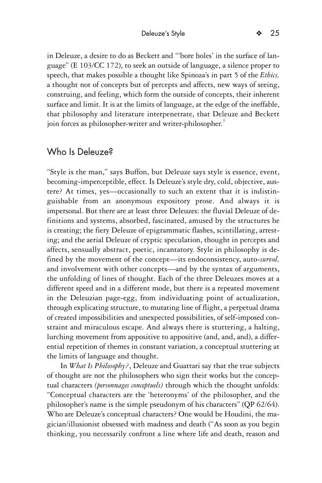in Deleuze, a desire to do as Beckett and "'bore holes' in the surface of language" (E 103/CC 172), to seek an outside of language, a silence proper to speech, that makes possible a thought like Spinoza's in part 5 of the *Ethics,* a thought not of concepts but of percepts and affects, new ways of seeing, construing, and feeling, which form the outside of concepts, their inherent surface and limit. It is at the limits of language, at the edge of the ineffable, that philosophy and literature interpenetrate, that Deleuze and Beckett join forces as philosopher-writer and writer-philosopher.<sup>7</sup>

## Who Is Deleuze?

"Style is the man," says Buffon, but Deleuze says style is essence, event, becoming-imperceptible, effect. Is Deleuze's style dry, cold, objective, austere? At times, yes—occasionally to such an extent that it is indistinguishable from an anonymous expository prose. And always it is impersonal. But there are at least three Deleuzes: the fluvial Deleuze of definitions and systems, absorbed, fascinated, amused by the structures he is creating; the fiery Deleuze of epigrammatic flashes, scintillating, arresting; and the aerial Deleuze of cryptic speculation, thought in percepts and affects, sensually abstract, poetic, incantatory. Style in philosophy is defined by the movement of the concept—its endoconsistency, auto-*survol,* and involvement with other concepts—and by the syntax of arguments, the unfolding of lines of thought. Each of the three Deleuzes moves at a different speed and in a different mode, but there is a repeated movement in the Deleuzian page-egg, from individuating point of actualization, through explicating structure, to mutating line of flight, a perpetual drama of created impossibilities and unexpected possibilities, of self-imposed constraint and miraculous escape. And always there is stuttering, a halting, lurching movement from appositive to appositive (and, and, and), a differential repetition of themes in constant variation, a conceptual stuttering at the limits of language and thought.

In *What Is Philosophy?*, Deleuze and Guattari say that the true subjects of thought are not the philosophers who sign their works but the conceptual characters *(personnages conceptuels)* through which the thought unfolds: "Conceptual characters are the 'heteronyms' of the philosopher, and the philosopher's name is the simple pseudonym of his characters" (QP 62/64). Who are Deleuze's conceptual characters? One would be Houdini, the magician/illusionist obsessed with madness and death ("As soon as you begin thinking, you necessarily confront a line where life and death, reason and